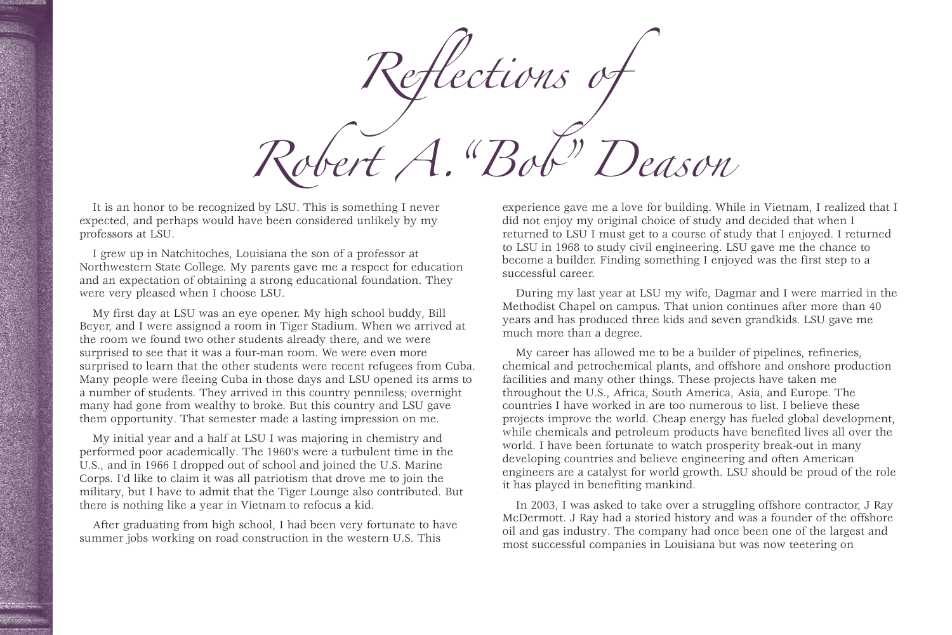*Reflections of Robert A."Bob" Deason*

It is an honor to be recognized by LSU. This is something I never expected, and perhaps would have been considered unlikely by my professors at LSU.

I grew up in Natchitoches, Louisiana the son of a professor at Northwestern State College. My parents gave me a respect for education and an expectation of obtaining a strong educational foundation. They were very pleased when I choose LSU.

My first day at LSU was an eye opener. My high school buddy, Bill Beyer, and I were assigned a room in Tiger Stadium. When we arrived at the room we found two other students already there, and we were surprised to see that it was a four-man room. We were even more surprised to learn that the other students were recent refugees from Cuba. Many people were fleeing Cuba in those days and LSU opened its arms to a number of students. They arrived in this country penniless; overnight many had gone from wealthy to broke. But this country and LSU gave them opportunity. That semester made a lasting impression on me.

My initial year and a half at LSU I was majoring in chemistry and performed poor academically. The 1960's were a turbulent time in the U.S., and in 1966 I dropped out of school and joined the U.S. Marine Corps. I'd like to claim it was all patriotism that drove me to join the military, but I have to admit that the Tiger Lounge also contributed. But there is nothing like a year in Vietnam to refocus a kid.

After graduating from high school, I had been very fortunate to have summer jobs working on road construction in the western U.S. This

experience gave me a love for building. While in Vietnam, I realized that I did not enjoy my original choice of study and decided that when I returned to LSU I must get to a course of study that I enjoyed. I returned to LSU in 1968 to study civil engineering. LSU gave me the chance to become a builder. Finding something I enjoyed was the first step to a successful career.

During my last year at LSU my wife, Dagmar and I were married in the Methodist Chapel on campus. That union continues after more than 40 years and has produced three kids and seven grandkids. LSU gave me much more than a degree.

My career has allowed me to be a builder of pipelines, refineries, chemical and petrochemical plants, and offshore and onshore production facilities and many other things. These projects have taken me throughout the U.S., Africa, South America, Asia, and Europe. The countries I have worked in are too numerous to list. I believe these projects improve the world. Cheap energy has fueled global development, while chemicals and petroleum products have benefited lives all over the world. I have been fortunate to watch prosperity break-out in many developing countries and believe engineering and often American engineers are a catalyst for world growth. LSU should be proud of the role it has played in benefiting mankind.

In 2003, I was asked to take over a struggling offshore contractor, J Ray McDermott. J Ray had a storied history and was a founder of the offshore oil and gas industry. The company had once been one of the largest and most successful companies in Louisiana but was now teetering on